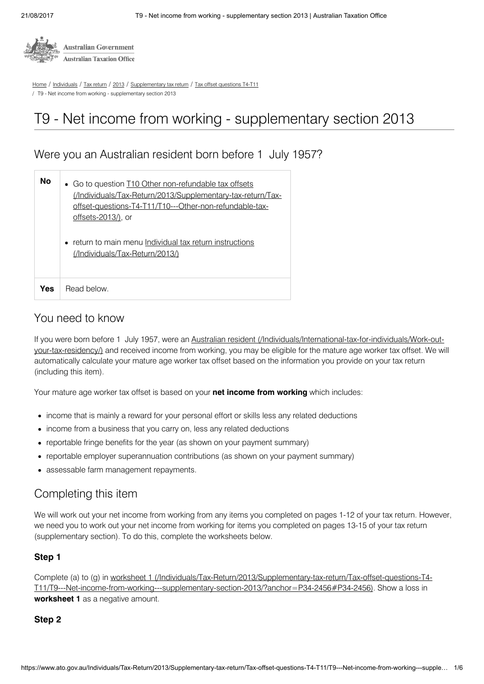

[Home](https://www.ato.gov.au/) / [Individuals](https://www.ato.gov.au/Individuals/) / [Tax return](https://www.ato.gov.au/Individuals/Tax-return/) / [2013](https://www.ato.gov.au/Individuals/Tax-return/2013/) / [Supplementary tax return](https://www.ato.gov.au/Individuals/Tax-return/2013/Supplementary-tax-return/) / [Tax offset questions T4-T11](https://www.ato.gov.au/Individuals/Tax-Return/2013/Supplementary-tax-return/Tax-offset-questions-T4-T11/) / T9 - Net income from working - supplementary section 2013

# T9 - Net income from working - supplementary section 2013

Were you an Australian resident born before 1 July 1957?

| <b>Νο</b> | • Go to question <b>T10 Other non-refundable tax offsets</b><br>(/Individuals/Tax-Return/2013/Supplementary-tax-return/Tax-<br>offset-questions-T4-T11/T10---Other-non-refundable-tax-<br><u>offsets-2013/)</u> , or<br>• return to main menu Individual tax return instructions<br><u>(/Individuals/Tax-Return/2013/)</u> |
|-----------|----------------------------------------------------------------------------------------------------------------------------------------------------------------------------------------------------------------------------------------------------------------------------------------------------------------------------|
| Yes       | Read below                                                                                                                                                                                                                                                                                                                 |

## You need to know

[If you were born before 1 July 1957, were an Australian resident \(/Individuals/International-tax-for-individuals/Work-out](https://www.ato.gov.au/Individuals/International-tax-for-individuals/Work-out-your-tax-residency/)your-tax-residency/) and received income from working, you may be eligible for the mature age worker tax offset. We will automatically calculate your mature age worker tax offset based on the information you provide on your tax return (including this item).

Your mature age worker tax offset is based on your net income from working which includes:

- income that is mainly a reward for your personal effort or skills less any related deductions
- income from a business that you carry on, less any related deductions
- reportable fringe benefits for the year (as shown on your payment summary)
- reportable employer superannuation contributions (as shown on your payment summary)
- assessable farm management repayments.

# Completing this item

We will work out your net income from working from any items you completed on pages 1-12 of your tax return. However, we need you to work out your net income from working for items you completed on pages 13-15 of your tax return (supplementary section). To do this, complete the worksheets below.

### Step 1

[Complete \(a\) to \(g\) in worksheet 1 \(/Individuals/Tax-Return/2013/Supplementary-tax-return/Tax-offset-questions-T4-](https://www.ato.gov.au/Individuals/Tax-Return/2013/Supplementary-tax-return/Tax-offset-questions-T4-T11/T9---Net-income-from-working---supplementary-section-2013/?anchor=P34-2456#P34-2456) T11/T9---Net-income-from-working---supplementary-section-2013/?anchor=P34-2456#P34-2456). Show a loss in worksheet 1 as a negative amount.

#### Step 2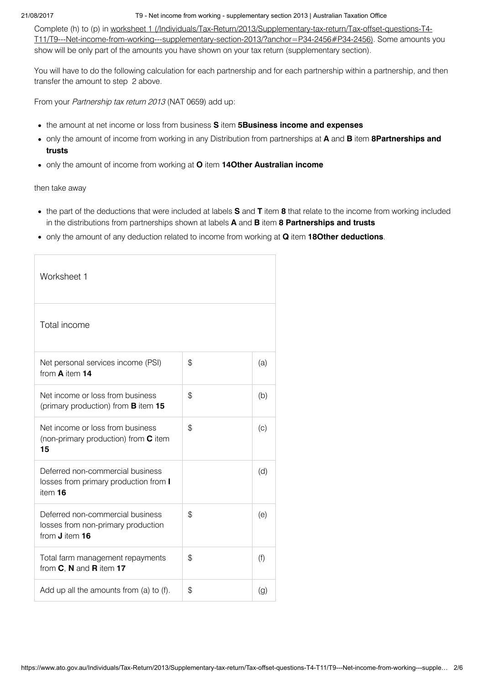#### 21/08/2017 T9 - Net income from working - supplementary section 2013 | Australian Taxation Office

Complete (h) to (p) in worksheet 1 (/Individuals/Tax-Return/2013/Supplementary-tax-return/Tax-offset-questions-T4- [T11/T9---Net-income-from-working---supplementary-section-2013/?anchor=P34-2456#P34-2456\). Some amounts y](https://www.ato.gov.au/Individuals/Tax-Return/2013/Supplementary-tax-return/Tax-offset-questions-T4-T11/T9---Net-income-from-working---supplementary-section-2013/?anchor=P34-2456#P34-2456)ou show will be only part of the amounts you have shown on your tax return (supplementary section).

You will have to do the following calculation for each partnership and for each partnership within a partnership, and then transfer the amount to step 2 above.

From your Partnership tax return 2013 (NAT 0659) add up:

- the amount at net income or loss from business S item 5Business income and expenses
- only the amount of income from working in any Distribution from partnerships at A and B item 8Partnerships and trusts
- only the amount of income from working at O item 14Other Australian income

then take away

- the part of the deductions that were included at labels S and T item 8 that relate to the income from working included in the distributions from partnerships shown at labels A and B item 8 Partnerships and trusts
- only the amount of any deduction related to income from working at **Q** item 18Other deductions.

| Worksheet 1                                                                                |    |     |  |
|--------------------------------------------------------------------------------------------|----|-----|--|
| Total income                                                                               |    |     |  |
| Net personal services income (PSI)<br>from A item 14                                       | \$ | (a) |  |
| Net income or loss from business<br>(primary production) from <b>B</b> item 15             | \$ | (b) |  |
| Net income or loss from business<br>(non-primary production) from C item<br>15             | \$ | (c) |  |
| Deferred non-commercial business<br>losses from primary production from I<br>item 16       |    | (d) |  |
| Deferred non-commercial business<br>losses from non-primary production<br>from $J$ item 16 | \$ | (e) |  |
| Total farm management repayments<br>from $C$ , $N$ and $R$ item 17                         | \$ | (f) |  |
| Add up all the amounts from (a) to (f).                                                    | \$ | (g) |  |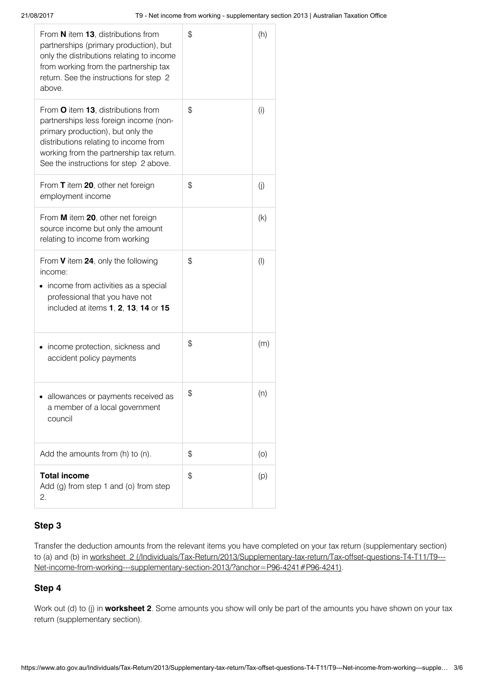| income protection, sickness and<br>accident policy payments                                                                                                                                                                                      | \$<br>(m)       |
|--------------------------------------------------------------------------------------------------------------------------------------------------------------------------------------------------------------------------------------------------|-----------------|
|                                                                                                                                                                                                                                                  |                 |
| From V item 24, only the following<br>income:<br>income from activities as a special<br>professional that you have not<br>included at items 1, 2, 13, 14 or 15                                                                                   | \$<br>$($ l $)$ |
| From M item 20, other net foreign<br>source income but only the amount<br>relating to income from working                                                                                                                                        | (k)             |
| From <b>T</b> item <b>20</b> , other net foreign<br>employment income                                                                                                                                                                            | \$<br>(j)       |
| From O item 13, distributions from<br>partnerships less foreign income (non-<br>primary production), but only the<br>distributions relating to income from<br>working from the partnership tax return.<br>See the instructions for step 2 above. | \$<br>(i)       |
| From N item 13, distributions from<br>partnerships (primary production), but<br>only the distributions relating to income<br>from working from the partnership tax<br>return. See the instructions for step 2<br>above.                          | \$<br>(h)       |

#### Step 3

Transfer the deduction amounts from the relevant items you have completed on your tax return (supplementary section) [to \(a\) and \(b\) in worksheet 2 \(/Individuals/Tax-Return/2013/Supplementary-tax-return/Tax-offset-questions-T4-T11/T9---](https://www.ato.gov.au/Individuals/Tax-Return/2013/Supplementary-tax-return/Tax-offset-questions-T4-T11/T9---Net-income-from-working---supplementary-section-2013/?anchor=P96-4241#P96-4241) Net-income-from-working---supplementary-section-2013/?anchor=P96-4241#P96-4241).

#### Step 4

Work out (d) to (j) in worksheet 2. Some amounts you show will only be part of the amounts you have shown on your tax return (supplementary section).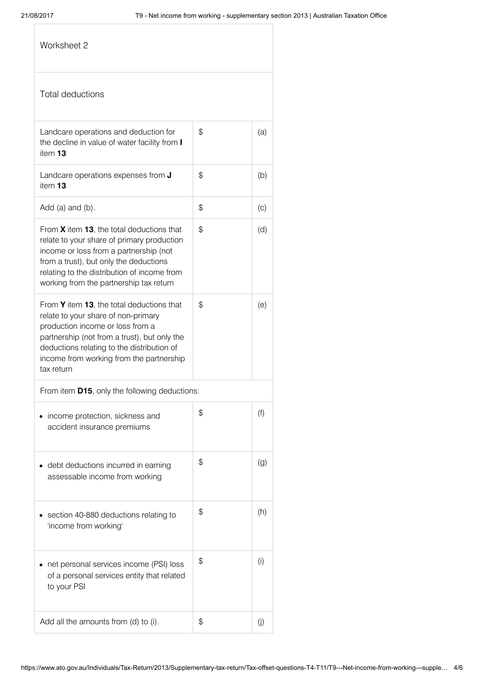| Worksheet 2                                                                                                                                                                                                                                                                  |    |     |
|------------------------------------------------------------------------------------------------------------------------------------------------------------------------------------------------------------------------------------------------------------------------------|----|-----|
| <b>Total deductions</b>                                                                                                                                                                                                                                                      |    |     |
| Landcare operations and deduction for<br>the decline in value of water facility from I<br>item $13$                                                                                                                                                                          | \$ | (a) |
| Landcare operations expenses from J<br>item 13                                                                                                                                                                                                                               | \$ | (b) |
| Add (a) and (b).                                                                                                                                                                                                                                                             | \$ | (c) |
| From $X$ item 13, the total deductions that<br>relate to your share of primary production<br>income or loss from a partnership (not<br>from a trust), but only the deductions<br>relating to the distribution of income from<br>working from the partnership tax return      | \$ | (d) |
| From Y item 13, the total deductions that<br>relate to your share of non-primary<br>production income or loss from a<br>partnership (not from a trust), but only the<br>deductions relating to the distribution of<br>income from working from the partnership<br>tax return | \$ | (e) |
| From item D15, only the following deductions:                                                                                                                                                                                                                                |    |     |
| income protection, sickness and<br>accident insurance premiums                                                                                                                                                                                                               | \$ | (f) |
| debt deductions incurred in earning<br>assessable income from working                                                                                                                                                                                                        | \$ | (g) |
| section 40-880 deductions relating to<br>'income from working'                                                                                                                                                                                                               | \$ | (h) |
| net personal services income (PSI) loss<br>of a personal services entity that related<br>to your PSI                                                                                                                                                                         | \$ | (i) |
| Add all the amounts from (d) to (i).                                                                                                                                                                                                                                         | \$ | (j) |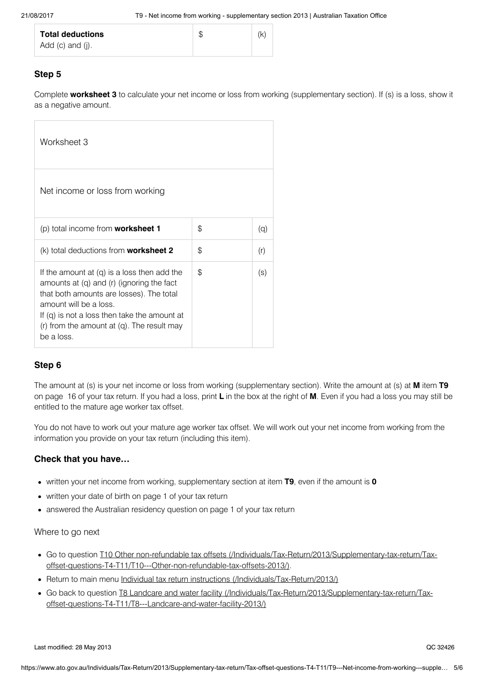| <b>Total deductions</b> | \$<br>(k) |
|-------------------------|-----------|
| Add (c) and (j).        |           |

#### Step 5

Complete worksheet 3 to calculate your net income or loss from working (supplementary section). If (s) is a loss, show it as a negative amount.

| Worksheet 3                                                                                                                                                                                                                                                                           |    |     |  |
|---------------------------------------------------------------------------------------------------------------------------------------------------------------------------------------------------------------------------------------------------------------------------------------|----|-----|--|
| Net income or loss from working                                                                                                                                                                                                                                                       |    |     |  |
| (p) total income from <b>worksheet 1</b>                                                                                                                                                                                                                                              | \$ | (q) |  |
| (k) total deductions from <b>worksheet 2</b>                                                                                                                                                                                                                                          | \$ | (r) |  |
| If the amount at $(q)$ is a loss then add the<br>amounts at $(q)$ and $(r)$ (ignoring the fact<br>that both amounts are losses). The total<br>amount will be a loss.<br>If (q) is not a loss then take the amount at<br>$(r)$ from the amount at $(q)$ . The result may<br>be a loss. | \$ | (s) |  |

### Step 6

The amount at (s) is your net income or loss from working (supplementary section). Write the amount at (s) at M item T9 on page 16 of your tax return. If you had a loss, print  $L$  in the box at the right of M. Even if you had a loss you may still be entitled to the mature age worker tax offset.

You do not have to work out your mature age worker tax offset. We will work out your net income from working from the information you provide on your tax return (including this item).

#### Check that you have…

- written your net income from working, supplementary section at item T9, even if the amount is **0**
- written your date of birth on page 1 of your tax return
- answered the Australian residency question on page 1 of your tax return

Where to go next

- [Go to question T10 Other non-refundable tax offsets \(/Individuals/Tax-Return/2013/Supplementary-tax-return/Tax](https://www.ato.gov.au/Individuals/Tax-Return/2013/Supplementary-tax-return/Tax-offset-questions-T4-T11/T10---Other-non-refundable-tax-offsets-2013/)offset-questions-T4-T11/T10---Other-non-refundable-tax-offsets-2013/).
- Return to main menu [Individual tax return instructions \(/Individuals/Tax-Return/2013/\)](https://www.ato.gov.au/Individuals/Tax-Return/2013/)
- [Go back to question T8 Landcare and water facility \(/Individuals/Tax-Return/2013/Supplementary-tax-return/Tax](https://www.ato.gov.au/Individuals/Tax-Return/2013/Supplementary-tax-return/Tax-offset-questions-T4-T11/T8---Landcare-and-water-facility-2013/)offset-questions-T4-T11/T8---Landcare-and-water-facility-2013/)